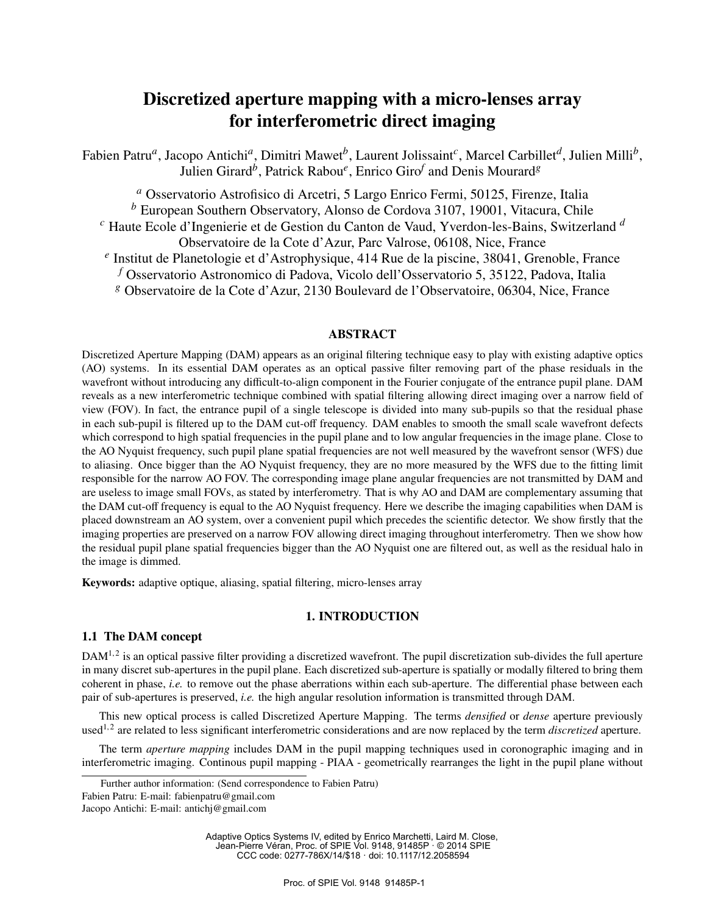# Discretized aperture mapping with a micro-lenses array for interferometric direct imaging

Fabien Patru*<sup>a</sup>* , Jacopo Antichi*<sup>a</sup>* , Dimitri Mawet*<sup>b</sup>* , Laurent Jolissaint*<sup>c</sup>* , Marcel Carbillet*<sup>d</sup>* , Julien Milli*<sup>b</sup>* , Julien Girard*<sup>b</sup>* , Patrick Rabou*<sup>e</sup>* , Enrico Giro*<sup>f</sup>* and Denis Mourard*<sup>g</sup>*

*<sup>a</sup>* Osservatorio Astrofisico di Arcetri, 5 Largo Enrico Fermi, 50125, Firenze, Italia *<sup>b</sup>* European Southern Observatory, Alonso de Cordova 3107, 19001, Vitacura, Chile *<sup>c</sup>* Haute Ecole d'Ingenierie et de Gestion du Canton de Vaud, Yverdon-les-Bains, Switzerland *<sup>d</sup>* Observatoire de la Cote d'Azur, Parc Valrose, 06108, Nice, France *e* Institut de Planetologie et d'Astrophysique, 414 Rue de la piscine, 38041, Grenoble, France *<sup>f</sup>* Osservatorio Astronomico di Padova, Vicolo dell'Osservatorio 5, 35122, Padova, Italia *<sup>g</sup>* Observatoire de la Cote d'Azur, 2130 Boulevard de l'Observatoire, 06304, Nice, France

## ABSTRACT

Discretized Aperture Mapping (DAM) appears as an original filtering technique easy to play with existing adaptive optics (AO) systems. In its essential DAM operates as an optical passive filter removing part of the phase residuals in the wavefront without introducing any difficult-to-align component in the Fourier conjugate of the entrance pupil plane. DAM reveals as a new interferometric technique combined with spatial filtering allowing direct imaging over a narrow field of view (FOV). In fact, the entrance pupil of a single telescope is divided into many sub-pupils so that the residual phase in each sub-pupil is filtered up to the DAM cut-off frequency. DAM enables to smooth the small scale wavefront defects which correspond to high spatial frequencies in the pupil plane and to low angular frequencies in the image plane. Close to the AO Nyquist frequency, such pupil plane spatial frequencies are not well measured by the wavefront sensor (WFS) due to aliasing. Once bigger than the AO Nyquist frequency, they are no more measured by the WFS due to the fitting limit responsible for the narrow AO FOV. The corresponding image plane angular frequencies are not transmitted by DAM and are useless to image small FOVs, as stated by interferometry. That is why AO and DAM are complementary assuming that the DAM cut-off frequency is equal to the AO Nyquist frequency. Here we describe the imaging capabilities when DAM is placed downstream an AO system, over a convenient pupil which precedes the scientific detector. We show firstly that the imaging properties are preserved on a narrow FOV allowing direct imaging throughout interferometry. Then we show how the residual pupil plane spatial frequencies bigger than the AO Nyquist one are filtered out, as well as the residual halo in the image is dimmed.

Keywords: adaptive optique, aliasing, spatial filtering, micro-lenses array

## 1. INTRODUCTION

#### 1.1 The DAM concept

 $DAM^{1,2}$  is an optical passive filter providing a discretized wavefront. The pupil discretization sub-divides the full aperture in many discret sub-apertures in the pupil plane. Each discretized sub-aperture is spatially or modally filtered to bring them coherent in phase, *i.e.* to remove out the phase aberrations within each sub-aperture. The differential phase between each pair of sub-apertures is preserved, *i.e.* the high angular resolution information is transmitted through DAM.

This new optical process is called Discretized Aperture Mapping. The terms *densified* or *dense* aperture previously used<sup>1,2</sup> are related to less significant interferometric considerations and are now replaced by the term *discretized* aperture.

The term *aperture mapping* includes DAM in the pupil mapping techniques used in coronographic imaging and in interferometric imaging. Continous pupil mapping - PIAA - geometrically rearranges the light in the pupil plane without

Adaptive Optics Systems IV, edited by Enrico Marchetti, Laird M. Close, Jean-Pierre Véran, Proc. of SPIE Vol. 9148, 91485P · © 2014 SPIE CCC code: 0277-786X/14/\$18 · doi: 10.1117/12.2058594

Further author information: (Send correspondence to Fabien Patru)

Fabien Patru: E-mail: fabienpatru@gmail.com

Jacopo Antichi: E-mail: antichj@gmail.com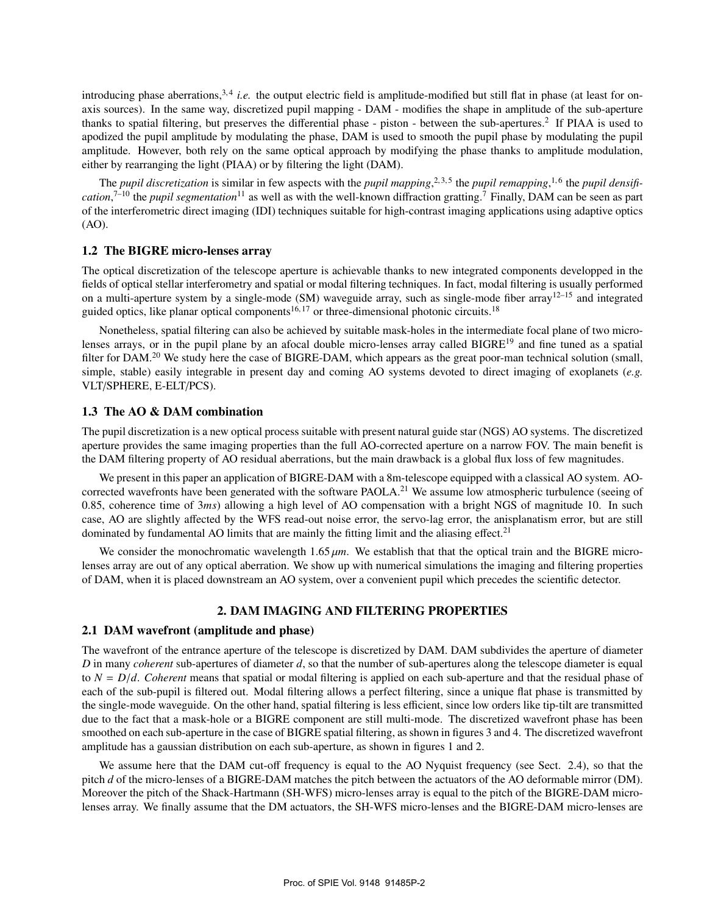introducing phase aberrations,<sup>3,4</sup> *i.e.* the output electric field is amplitude-modified but still flat in phase (at least for onaxis sources). In the same way, discretized pupil mapping - DAM - modifies the shape in amplitude of the sub-aperture thanks to spatial filtering, but preserves the differential phase - piston - between the sub-apertures.<sup>2</sup> If PIAA is used to apodized the pupil amplitude by modulating the phase, DAM is used to smooth the pupil phase by modulating the pupil amplitude. However, both rely on the same optical approach by modifying the phase thanks to amplitude modulation, either by rearranging the light (PIAA) or by filtering the light (DAM).

The *pupil discretization* is similar in few aspects with the *pupil mapping*,<sup>2,3,5</sup> the *pupil remapping*,<sup>1,6</sup> the *pupil densification*, 7–10 the *pupil segmentation*<sup>11</sup> as well as with the well-known diffraction gratting.<sup>7</sup> Finally, DAM can be seen as part of the interferometric direct imaging (IDI) techniques suitable for high-contrast imaging applications using adaptive optics (AO).

## 1.2 The BIGRE micro-lenses array

The optical discretization of the telescope aperture is achievable thanks to new integrated components developped in the fields of optical stellar interferometry and spatial or modal filtering techniques. In fact, modal filtering is usually performed on a multi-aperture system by a single-mode (SM) waveguide array, such as single-mode fiber array<sup>12–15</sup> and integrated guided optics, like planar optical components<sup>16, 17</sup> or three-dimensional photonic circuits.<sup>18</sup>

Nonetheless, spatial filtering can also be achieved by suitable mask-holes in the intermediate focal plane of two microlenses arrays, or in the pupil plane by an afocal double micro-lenses array called  $BIGRE<sup>19</sup>$  and fine tuned as a spatial filter for DAM.<sup>20</sup> We study here the case of BIGRE-DAM, which appears as the great poor-man technical solution (small, simple, stable) easily integrable in present day and coming AO systems devoted to direct imaging of exoplanets (*e.g.* VLT/SPHERE, E-ELT/PCS).

## 1.3 The AO & DAM combination

The pupil discretization is a new optical process suitable with present natural guide star (NGS) AO systems. The discretized aperture provides the same imaging properties than the full AO-corrected aperture on a narrow FOV. The main benefit is the DAM filtering property of AO residual aberrations, but the main drawback is a global flux loss of few magnitudes.

We present in this paper an application of BIGRE-DAM with a 8m-telescope equipped with a classical AO system. AOcorrected wavefronts have been generated with the software PAOLA.<sup>21</sup> We assume low atmospheric turbulence (seeing of 0.85, coherence time of 3*ms*) allowing a high level of AO compensation with a bright NGS of magnitude 10. In such case, AO are slightly affected by the WFS read-out noise error, the servo-lag error, the anisplanatism error, but are still dominated by fundamental AO limits that are mainly the fitting limit and the aliasing effect.<sup>21</sup>

We consider the monochromatic wavelength  $1.65 \mu m$ . We establish that that the optical train and the BIGRE microlenses array are out of any optical aberration. We show up with numerical simulations the imaging and filtering properties of DAM, when it is placed downstream an AO system, over a convenient pupil which precedes the scientific detector.

# 2. DAM IMAGING AND FILTERING PROPERTIES

#### 2.1 DAM wavefront (amplitude and phase)

The wavefront of the entrance aperture of the telescope is discretized by DAM. DAM subdivides the aperture of diameter *D* in many *coherent* sub-apertures of diameter *d*, so that the number of sub-apertures along the telescope diameter is equal to  $N = D/d$ . Coherent means that spatial or modal filtering is applied on each sub-aperture and that the residual phase of each of the sub-pupil is filtered out. Modal filtering allows a perfect filtering, since a unique flat phase is transmitted by the single-mode waveguide. On the other hand, spatial filtering is less efficient, since low orders like tip-tilt are transmitted due to the fact that a mask-hole or a BIGRE component are still multi-mode. The discretized wavefront phase has been smoothed on each sub-aperture in the case of BIGRE spatial filtering, as shown in figures 3 and 4. The discretized wavefront amplitude has a gaussian distribution on each sub-aperture, as shown in figures 1 and 2.

We assume here that the DAM cut-off frequency is equal to the AO Nyquist frequency (see Sect. 2.4), so that the pitch *d* of the micro-lenses of a BIGRE-DAM matches the pitch between the actuators of the AO deformable mirror (DM). Moreover the pitch of the Shack-Hartmann (SH-WFS) micro-lenses array is equal to the pitch of the BIGRE-DAM microlenses array. We finally assume that the DM actuators, the SH-WFS micro-lenses and the BIGRE-DAM micro-lenses are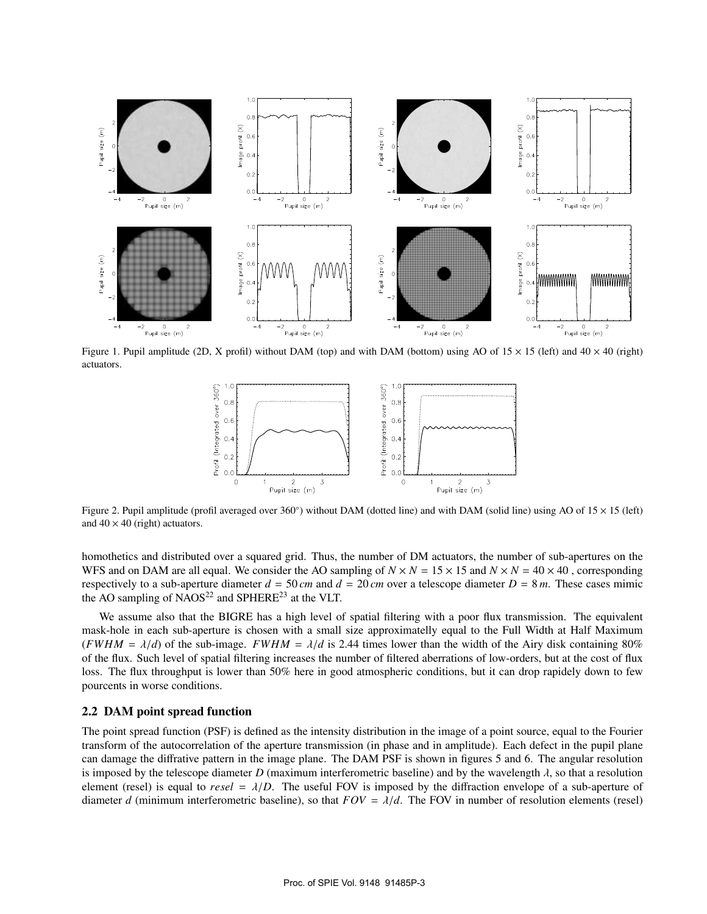

Figure 1. Pupil amplitude (2D, X profil) without DAM (top) and with DAM (bottom) using AO of  $15 \times 15$  (left) and  $40 \times 40$  (right) actuators.



Figure 2. Pupil amplitude (profil averaged over 360°) without DAM (dotted line) and with DAM (solid line) using AO of  $15 \times 15$  (left) and  $40 \times 40$  (right) actuators.

homothetics and distributed over a squared grid. Thus, the number of DM actuators, the number of sub-apertures on the WFS and on DAM are all equal. We consider the AO sampling of  $N \times N = 15 \times 15$  and  $N \times N = 40 \times 40$ , corresponding respectively to a sub-aperture diameter  $d = 50$  *cm* and  $d = 20$  *cm* over a telescope diameter  $D = 8$  *m*. These cases mimic the AO sampling of NAOS<sup>22</sup> and SPHERE<sup>23</sup> at the VLT.

We assume also that the BIGRE has a high level of spatial filtering with a poor flux transmission. The equivalent mask-hole in each sub-aperture is chosen with a small size approximatelly equal to the Full Width at Half Maximum (*FWHM* =  $\lambda/d$ ) of the sub-image. *FWHM* =  $\lambda/d$  is 2.44 times lower than the width of the Airy disk containing 80% of the flux. Such level of spatial filtering increases the number of filtered aberrations of low-orders, but at the cost of flux loss. The flux throughput is lower than 50% here in good atmospheric conditions, but it can drop rapidely down to few pourcents in worse conditions.

## 2.2 DAM point spread function

The point spread function (PSF) is defined as the intensity distribution in the image of a point source, equal to the Fourier transform of the autocorrelation of the aperture transmission (in phase and in amplitude). Each defect in the pupil plane can damage the diffrative pattern in the image plane. The DAM PSF is shown in figures 5 and 6. The angular resolution is imposed by the telescope diameter *D* (maximum interferometric baseline) and by the wavelength  $\lambda$ , so that a resolution element (resel) is equal to  $resel = \lambda/D$ . The useful FOV is imposed by the diffraction envelope of a sub-aperture of diameter *d* (minimum interferometric baseline), so that  $FOV = \lambda/d$ . The FOV in number of resolution elements (resel)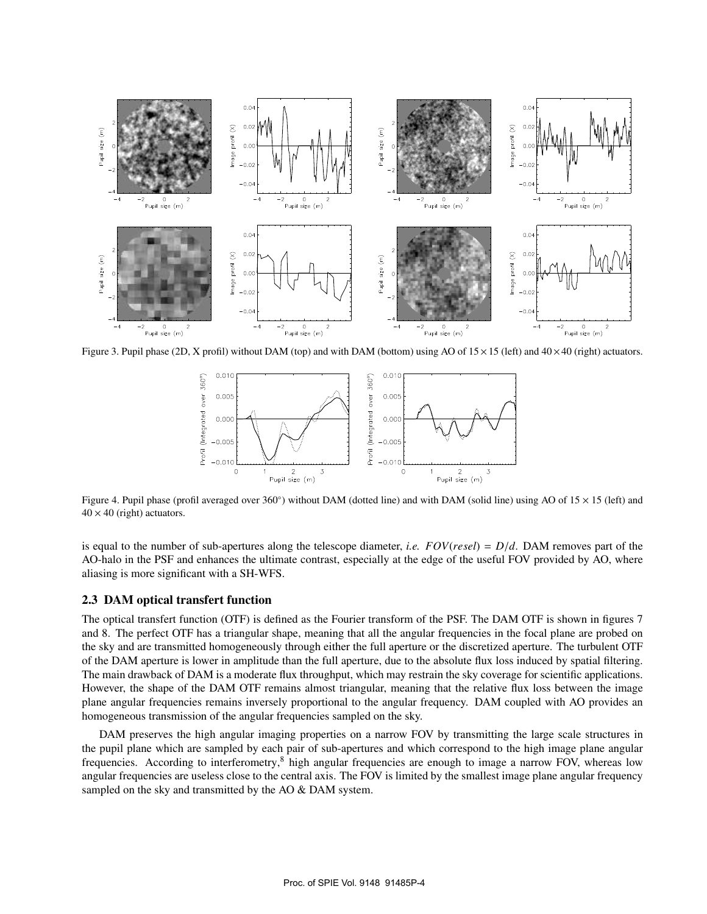

Figure 3. Pupil phase (2D, X profil) without DAM (top) and with DAM (bottom) using AO of  $15 \times 15$  (left) and  $40 \times 40$  (right) actuators.



Figure 4. Pupil phase (profil averaged over 360°) without DAM (dotted line) and with DAM (solid line) using AO of 15 × 15 (left) and  $40 \times 40$  (right) actuators.

is equal to the number of sub-apertures along the telescope diameter, *i.e. FOV*(*resel*) = *D*/*d*. DAM removes part of the AO-halo in the PSF and enhances the ultimate contrast, especially at the edge of the useful FOV provided by AO, where aliasing is more significant with a SH-WFS.

## 2.3 DAM optical transfert function

The optical transfert function (OTF) is defined as the Fourier transform of the PSF. The DAM OTF is shown in figures 7 and 8. The perfect OTF has a triangular shape, meaning that all the angular frequencies in the focal plane are probed on the sky and are transmitted homogeneously through either the full aperture or the discretized aperture. The turbulent OTF of the DAM aperture is lower in amplitude than the full aperture, due to the absolute flux loss induced by spatial filtering. The main drawback of DAM is a moderate flux throughput, which may restrain the sky coverage for scientific applications. However, the shape of the DAM OTF remains almost triangular, meaning that the relative flux loss between the image plane angular frequencies remains inversely proportional to the angular frequency. DAM coupled with AO provides an homogeneous transmission of the angular frequencies sampled on the sky.

DAM preserves the high angular imaging properties on a narrow FOV by transmitting the large scale structures in the pupil plane which are sampled by each pair of sub-apertures and which correspond to the high image plane angular frequencies. According to interferometry, ${}^{8}$  high angular frequencies are enough to image a narrow FOV, whereas low angular frequencies are useless close to the central axis. The FOV is limited by the smallest image plane angular frequency sampled on the sky and transmitted by the AO & DAM system.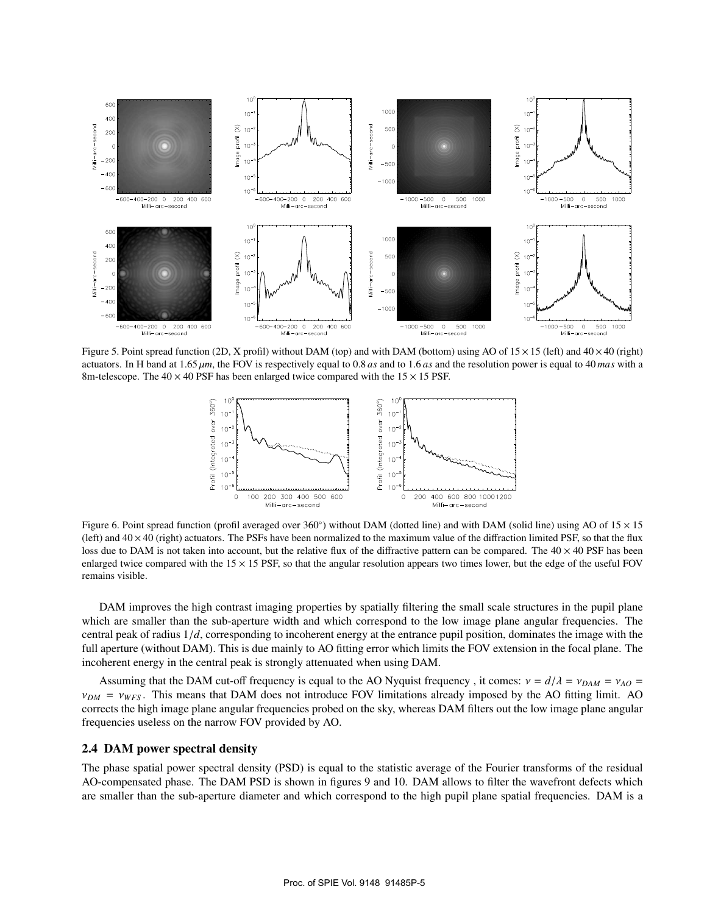

Figure 5. Point spread function (2D, X profil) without DAM (top) and with DAM (bottom) using AO of  $15 \times 15$  (left) and  $40 \times 40$  (right) actuators. In H band at 1.65 µ*m*, the FOV is respectively equal to 0.8 *as* and to 1.6 *as* and the resolution power is equal to 40 *mas* with a 8m-telescope. The  $40 \times 40$  PSF has been enlarged twice compared with the  $15 \times 15$  PSF.



Figure 6. Point spread function (profil averaged over 360°) without DAM (dotted line) and with DAM (solid line) using AO of  $15 \times 15$ (left) and  $40 \times 40$  (right) actuators. The PSFs have been normalized to the maximum value of the diffraction limited PSF, so that the flux loss due to DAM is not taken into account, but the relative flux of the diffractive pattern can be compared. The  $40 \times 40$  PSF has been enlarged twice compared with the  $15 \times 15$  PSF, so that the angular resolution appears two times lower, but the edge of the useful FOV remains visible.

DAM improves the high contrast imaging properties by spatially filtering the small scale structures in the pupil plane which are smaller than the sub-aperture width and which correspond to the low image plane angular frequencies. The central peak of radius 1/*d*, corresponding to incoherent energy at the entrance pupil position, dominates the image with the full aperture (without DAM). This is due mainly to AO fitting error which limits the FOV extension in the focal plane. The incoherent energy in the central peak is strongly attenuated when using DAM.

Assuming that the DAM cut-off frequency is equal to the AO Nyquist frequency, it comes:  $v = d/\lambda = v_{DAM} = v_{AO} =$  $v_{DM} = v_{WFS}$ . This means that DAM does not introduce FOV limitations already imposed by the AO fitting limit. AO corrects the high image plane angular frequencies probed on the sky, whereas DAM filters out the low image plane angular frequencies useless on the narrow FOV provided by AO.

## 2.4 DAM power spectral density

The phase spatial power spectral density (PSD) is equal to the statistic average of the Fourier transforms of the residual AO-compensated phase. The DAM PSD is shown in figures 9 and 10. DAM allows to filter the wavefront defects which are smaller than the sub-aperture diameter and which correspond to the high pupil plane spatial frequencies. DAM is a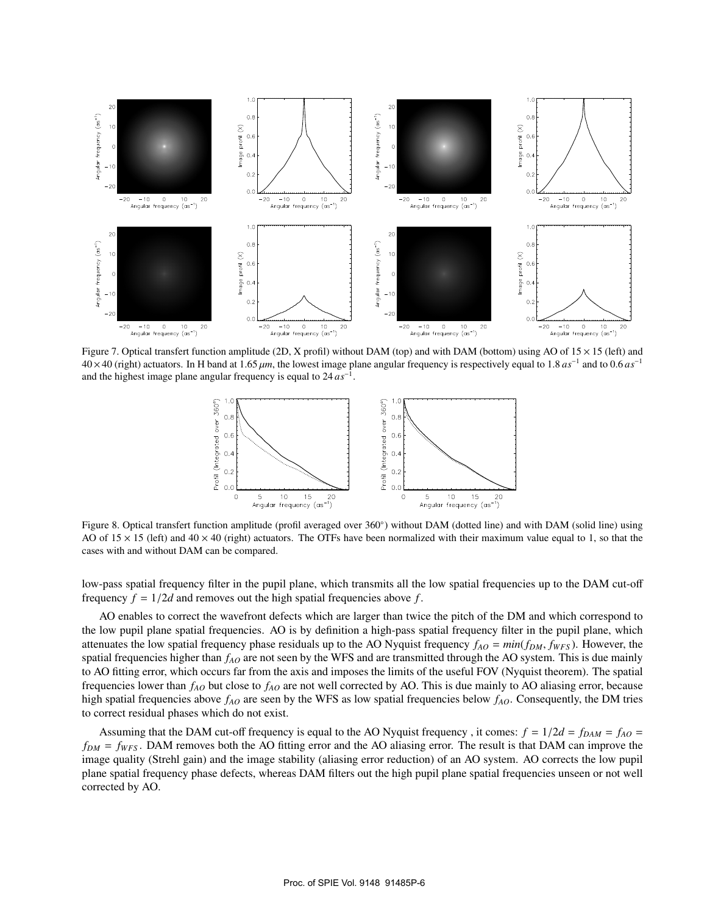

Figure 7. Optical transfert function amplitude (2D, X profil) without DAM (top) and with DAM (bottom) using AO of  $15 \times 15$  (left) and 40×40 (right) actuators. In H band at 1.65 µ*m*, the lowest image plane angular frequency is respectively equal to 1.8 *as*<sup>−</sup><sup>1</sup> and to 0.6 *as*<sup>−</sup><sup>1</sup> and the highest image plane angular frequency is equal to 24 *as*<sup>−</sup><sup>1</sup> .



Figure 8. Optical transfert function amplitude (profil averaged over 360°) without DAM (dotted line) and with DAM (solid line) using AO of  $15 \times 15$  (left) and  $40 \times 40$  (right) actuators. The OTFs have been normalized with their maximum value equal to 1, so that the cases with and without DAM can be compared.

low-pass spatial frequency filter in the pupil plane, which transmits all the low spatial frequencies up to the DAM cut-off frequency  $f = 1/2d$  and removes out the high spatial frequencies above  $f$ .

AO enables to correct the wavefront defects which are larger than twice the pitch of the DM and which correspond to the low pupil plane spatial frequencies. AO is by definition a high-pass spatial frequency filter in the pupil plane, which attenuates the low spatial frequency phase residuals up to the AO Nyquist frequency *fAO* = *min*(*fDM*, *fWFS* ). However, the spatial frequencies higher than  $f_{AO}$  are not seen by the WFS and are transmitted through the AO system. This is due mainly to AO fitting error, which occurs far from the axis and imposes the limits of the useful FOV (Nyquist theorem). The spatial frequencies lower than *fAO* but close to *fAO* are not well corrected by AO. This is due mainly to AO aliasing error, because high spatial frequencies above *fAO* are seen by the WFS as low spatial frequencies below *fAO*. Consequently, the DM tries to correct residual phases which do not exist.

Assuming that the DAM cut-off frequency is equal to the AO Nyquist frequency, it comes:  $f = 1/2d = f_{DAM} = f_{AO} =$ *fDM* = *fWFS* . DAM removes both the AO fitting error and the AO aliasing error. The result is that DAM can improve the image quality (Strehl gain) and the image stability (aliasing error reduction) of an AO system. AO corrects the low pupil plane spatial frequency phase defects, whereas DAM filters out the high pupil plane spatial frequencies unseen or not well corrected by AO.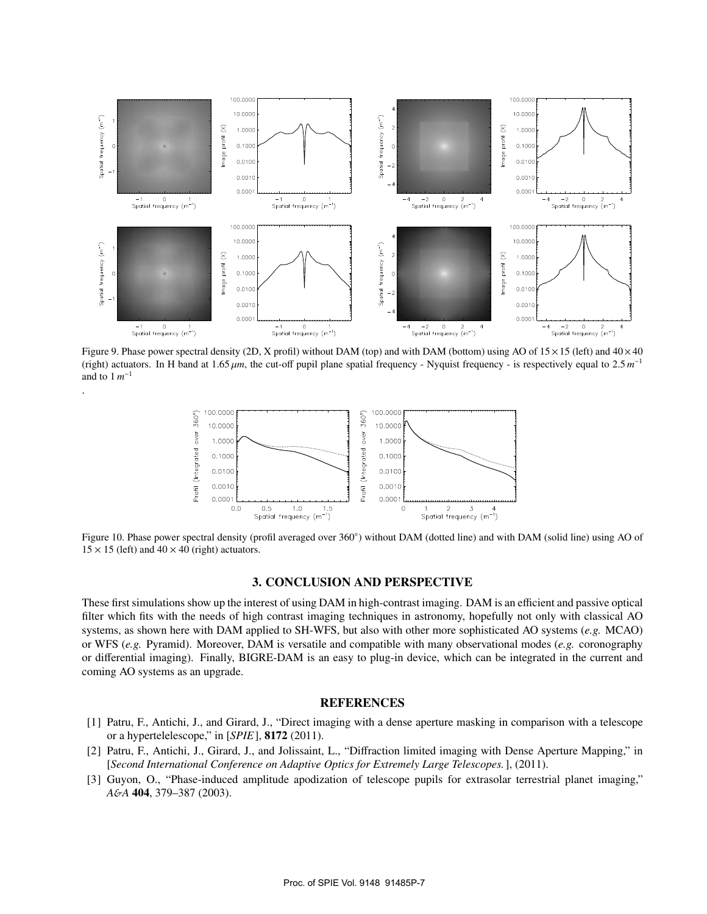

Figure 9. Phase power spectral density (2D, X profil) without DAM (top) and with DAM (bottom) using AO of  $15 \times 15$  (left) and  $40 \times 40$ (right) actuators. In H band at 1.65  $\mu$ m, the cut-off pupil plane spatial frequency - Nyquist frequency - is respectively equal to 2.5  $m^{-1}$ and to  $1 \, m^{-1}$ 

.



Figure 10. Phase power spectral density (profil averaged over 360°) without DAM (dotted line) and with DAM (solid line) using AO of  $15 \times 15$  (left) and  $40 \times 40$  (right) actuators.

#### 3. CONCLUSION AND PERSPECTIVE

These first simulations show up the interest of using DAM in high-contrast imaging. DAM is an efficient and passive optical filter which fits with the needs of high contrast imaging techniques in astronomy, hopefully not only with classical AO systems, as shown here with DAM applied to SH-WFS, but also with other more sophisticated AO systems (*e.g.* MCAO) or WFS (*e.g.* Pyramid). Moreover, DAM is versatile and compatible with many observational modes (*e.g.* coronography or differential imaging). Finally, BIGRE-DAM is an easy to plug-in device, which can be integrated in the current and coming AO systems as an upgrade.

## **REFERENCES**

- [1] Patru, F., Antichi, J., and Girard, J., "Direct imaging with a dense aperture masking in comparison with a telescope or a hypertelelescope," in [*SPIE*], 8172 (2011).
- [2] Patru, F., Antichi, J., Girard, J., and Jolissaint, L., "Diffraction limited imaging with Dense Aperture Mapping," in [*Second International Conference on Adaptive Optics for Extremely Large Telescopes.*], (2011).
- [3] Guyon, O., "Phase-induced amplitude apodization of telescope pupils for extrasolar terrestrial planet imaging," *A*&*A* 404, 379–387 (2003).